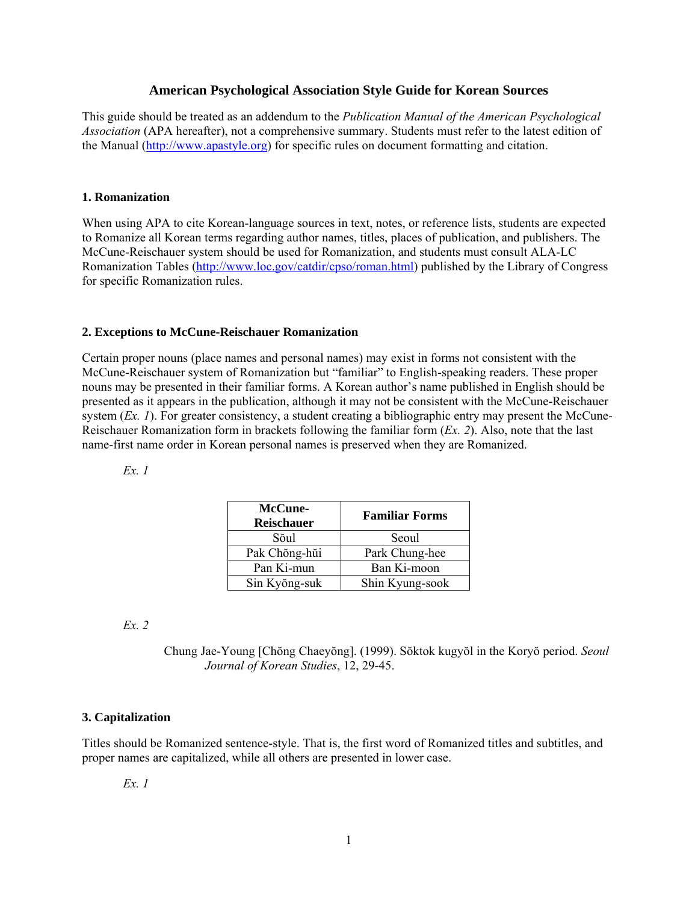## **American Psychological Association Style Guide for Korean Sources**

This guide should be treated as an addendum to the *Publication Manual of the American Psychological Association* (APA hereafter), not a comprehensive summary. Students must refer to the latest edition of the Manual (http://www.apastyle.org) for specific rules on document formatting and citation.

## **1. Romanization**

When using APA to cite Korean-language sources in text, notes, or reference lists, students are expected to Romanize all Korean terms regarding author names, titles, places of publication, and publishers. The McCune-Reischauer system should be used for Romanization, and students must consult ALA-LC Romanization Tables (http://www.loc.gov/catdir/cpso/roman.html) published by the Library of Congress for specific Romanization rules.

## **2. Exceptions to McCune-Reischauer Romanization**

Certain proper nouns (place names and personal names) may exist in forms not consistent with the McCune-Reischauer system of Romanization but "familiar" to English-speaking readers. These proper nouns may be presented in their familiar forms. A Korean author's name published in English should be presented as it appears in the publication, although it may not be consistent with the McCune-Reischauer system (*Ex. 1*). For greater consistency, a student creating a bibliographic entry may present the McCune-Reischauer Romanization form in brackets following the familiar form (*Ex. 2*). Also, note that the last name-first name order in Korean personal names is preserved when they are Romanized.

*Ex. 1* 

| McCune-<br><b>Reischauer</b> | <b>Familiar Forms</b> |
|------------------------------|-----------------------|
| Sŏul                         | Seoul                 |
| Pak Chŏng-hŭi                | Park Chung-hee        |
| Pan Ki-mun                   | Ban Ki-moon           |
| Sin Kyŏng-suk                | Shin Kyung-sook       |

### *Ex. 2*

Chung Jae-Young [Chŏng Chaeyŏng]. (1999). Sŏktok kugyŏl in the Koryŏ period. *Seoul Journal of Korean Studies*, 12, 29-45.

## **3. Capitalization**

Titles should be Romanized sentence-style. That is, the first word of Romanized titles and subtitles, and proper names are capitalized, while all others are presented in lower case.

*Ex. 1*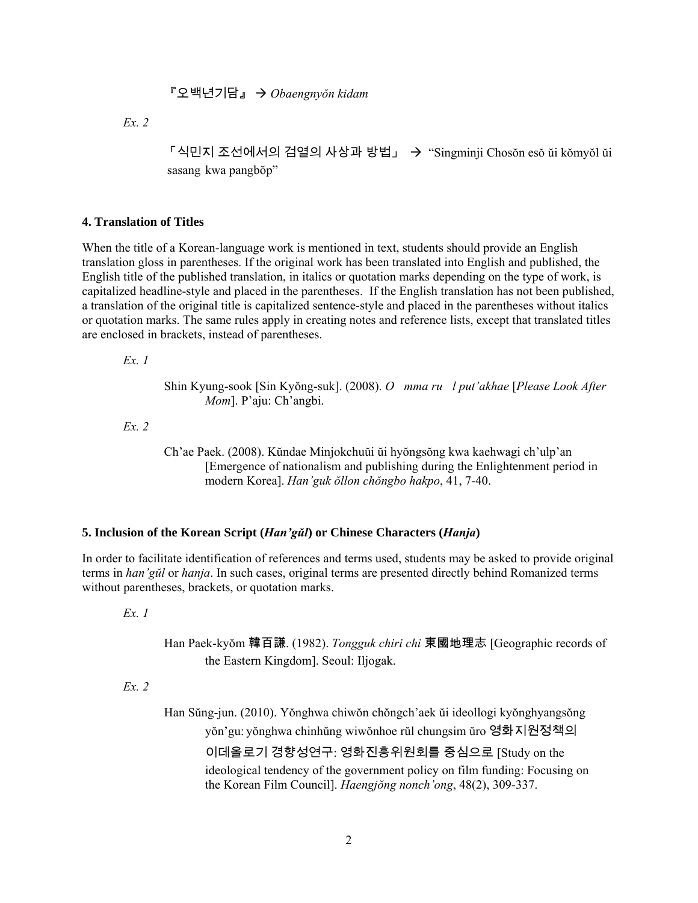# 『오백년기담』 Æ *Obaengnyŏn kidam*

*Ex. 2* 

 $\ulcorner$  식민지 조선에서의 검열의 사상과 방법」 → "Singminji Chosŏn esŏ ŭi kŏmyŏl ŭi sasang kwa pangbŏp"

### **4. Translation of Titles**

When the title of a Korean-language work is mentioned in text, students should provide an English translation gloss in parentheses. If the original work has been translated into English and published, the English title of the published translation, in italics or quotation marks depending on the type of work, is capitalized headline-style and placed in the parentheses. If the English translation has not been published, a translation of the original title is capitalized sentence-style and placed in the parentheses without italics or quotation marks. The same rules apply in creating notes and reference lists, except that translated titles are enclosed in brackets, instead of parentheses.

*Ex. 1* 

Shin Kyung-sook [Sin Kyŏng-suk]. (2008). *Omma rul put'akhae* [*Please Look After Mom*]. P'aju: Ch'angbi.

*Ex. 2* 

Ch'ae Paek. (2008). Kŭndae Minjokchuŭi ŭi hyŏngsŏng kwa kaehwagi ch'ulp'an [Emergence of nationalism and publishing during the Enlightenment period in modern Korea]. *Han'guk ŏllon chŏngbo hakpo*, 41, 7-40.

# **5. Inclusion of the Korean Script (***Han'gŭl***) or Chinese Characters (***Hanja***)**

In order to facilitate identification of references and terms used, students may be asked to provide original terms in *han'gŭl* or *hanja*. In such cases, original terms are presented directly behind Romanized terms without parentheses, brackets, or quotation marks.

*Ex. 1* 

Han Paek-kyŏm 韓百謙. (1982). *Tongguk chiri chi* 東國地理志 [Geographic records of the Eastern Kingdom]. Seoul: Iljogak.

*Ex. 2* 

Han Sŭng-jun. (2010). Yŏnghwa chiwŏn chŏngch'aek ŭi ideollogi kyŏnghyangsŏng yŏn'gu: yŏnghwa chinhŭng wiwŏnhoe rŭl chungsim ŭro 영화지원정책의 이데올로기 경향성연구: 영화진흥위원회를 중심으로 [Study on the ideological tendency of the government policy on film funding: Focusing on the Korean Film Council]. *Haengjŏng nonch'ong*, 48(2), 309-337.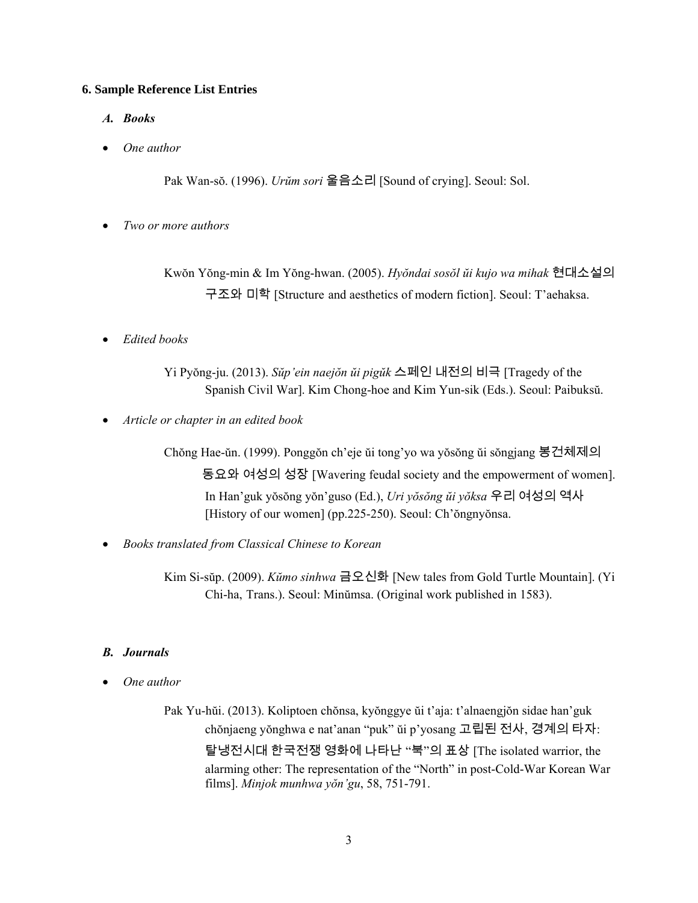### **6. Sample Reference List Entries**

- *A. Books*
- *One author*

Pak Wan-sŏ. (1996). *Urŭm sori* 울음소리 [Sound of crying]. Seoul: Sol.

• *Two or more authors* 

Kwŏn Yŏng-min & Im Yŏng-hwan. (2005). *Hyŏndai sosŏl ŭi kujo wa mihak* 현대소설의 구조와 미학 [Structure and aesthetics of modern fiction]. Seoul: T'aehaksa.

• *Edited books* 

Yi Pyŏng-ju. (2013). *Sŭp'ein naejŏn ŭi pigŭk* 스페인 내전의 비극 [Tragedy of the Spanish Civil War]. Kim Chong-hoe and Kim Yun-sik (Eds.). Seoul: Paibuksŭ.

• *Article or chapter in an edited book* 

Chŏng Hae-ŭn. (1999). Ponggŏn ch'eje ŭi tong'yo wa yŏsŏng ŭi sŏngjang 봉건체제의 동요와 여성의 성장 [Wavering feudal society and the empowerment of women]. In Han'guk yŏsŏng yŏn'guso (Ed.), *Uri yŏsŏng ŭi yŏksa* 우리 여성의 역사 [History of our women] (pp.225-250). Seoul: Ch'ŏngnyŏnsa.

• *Books translated from Classical Chinese to Korean* 

Kim Si-sŭp. (2009). *Kŭmo sinhwa* 금오신화 [New tales from Gold Turtle Mountain]. (Yi Chi-ha, Trans.). Seoul: Minŭmsa. (Original work published in 1583).

## *B. Journals*

• *One author* 

Pak Yu-hŭi. (2013). Koliptoen chŏnsa, kyŏnggye ŭi t'aja: t'alnaengjŏn sidae han'guk chŏnjaeng yŏnghwa e nat'anan "puk" ŭi p'yosang 고립된 전사, 경계의 타자: 탈냉전시대 한국전쟁 영화에 나타난 "북"의 표상 [The isolated warrior, the alarming other: The representation of the "North" in post-Cold-War Korean War films]. *Minjok munhwa yŏn'gu*, 58, 751-791.